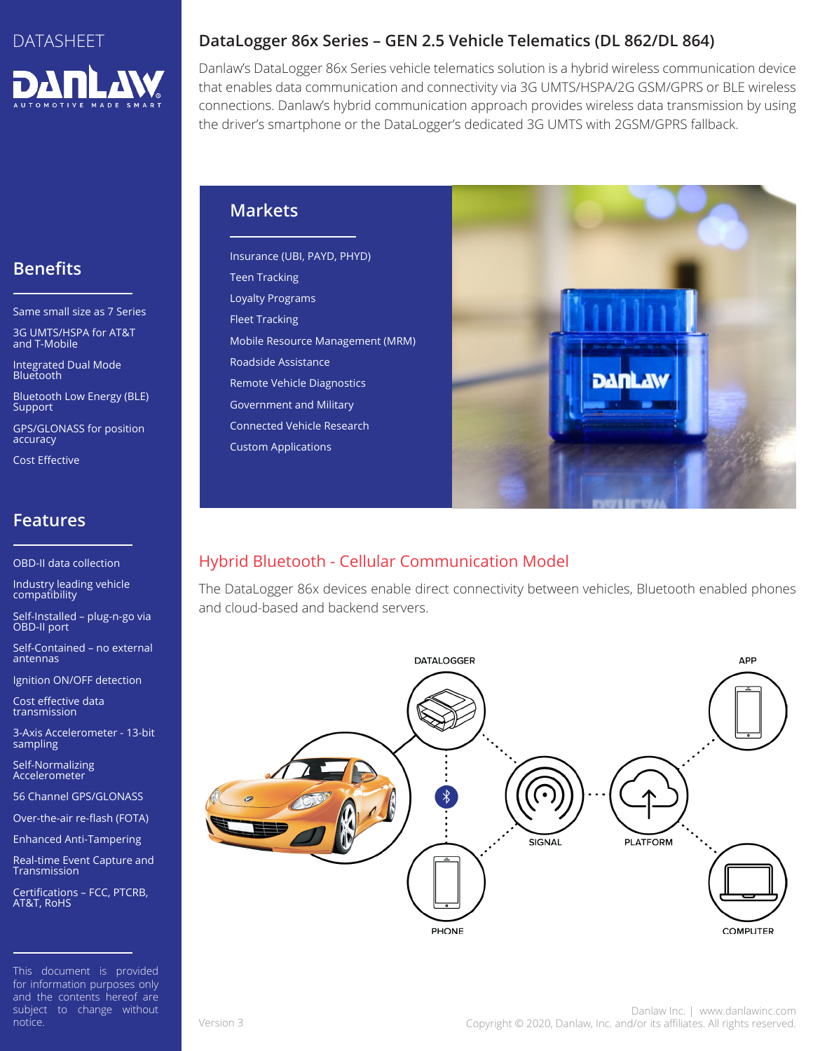

# **Benefits**

Same small size as 7 Series

3G UMTS/HSPA for AT&T and T-Mobile

Integrated Dual Mode Bluetooth

Bluetooth Low Energy (BLE) **Support** 

GPS/GLONASS for position accuracy

Cost Effective

## **Features**

OBD-II data collection

Industry leading vehicle compatibility

Self-Installed – plug-n-go via OBD-II port

Self-Contained – no external antennas

Ignition ON/OFF detection

Cost effective data transmission

3-Axis Accelerometer - 13-bit sampling

Self-Normalizing Accelerometer

56 Channel GPS/GLONASS

Over-the-air re-flash (FOTA)

Enhanced Anti-Tampering

Real-time Event Capture and Transmission

Certifications – FCC, PTCRB, AT&T, RoHS

This document is provided for information purposes only and the contents hereof are subject to change without notice.

## **DataLogger 86x Series – GEN 2.5 Vehicle Telematics (DL 862/DL 864)**

Danlaw's DataLogger 86x Series vehicle telematics solution is a hybrid wireless communication device that enables data communication and connectivity via 3G UMTS/HSPA/2G GSM/GPRS or BLE wireless connections. Danlaw's hybrid communication approach provides wireless data transmission by using the driver's smartphone or the DataLogger's dedicated 3G UMTS with 2GSM/GPRS fallback.

#### **Markets**

Insurance (UBI, PAYD, PHYD) Teen Tracking Loyalty Programs Fleet Tracking Mobile Resource Management (MRM) Roadside Assistance Remote Vehicle Diagnostics Government and Military Connected Vehicle Research Custom Applications



# Hybrid Bluetooth - Cellular Communication Model

The DataLogger 86x devices enable direct connectivity between vehicles, Bluetooth enabled phones and cloud-based and backend servers.